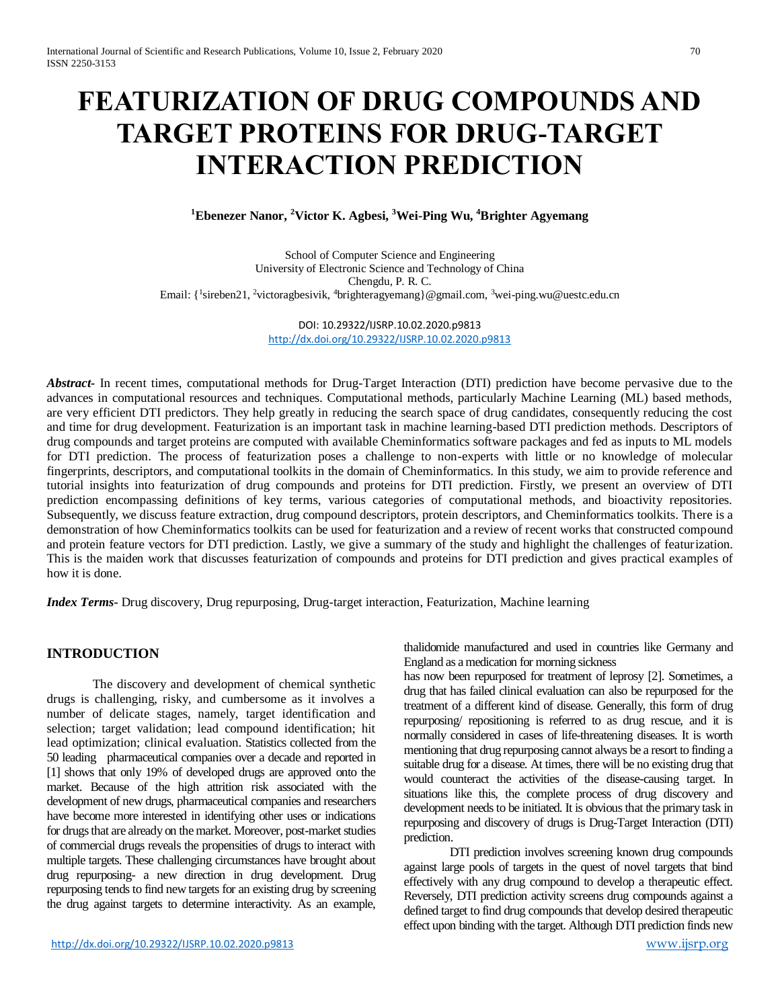# **FEATURIZATION OF DRUG COMPOUNDS AND TARGET PROTEINS FOR DRUG-TARGET INTERACTION PREDICTION**

**<sup>1</sup>Ebenezer Nanor, <sup>2</sup>Victor K. Agbesi, <sup>3</sup>Wei-Ping Wu, <sup>4</sup>Brighter Agyemang**

School of Computer Science and Engineering University of Electronic Science and Technology of China Chengdu, P. R. C. Email: {<sup>1</sup>sireben21, <sup>2</sup>victoragbesivik, <sup>4</sup>brighteragyemang}@gmail.com, <sup>3</sup>[wei-ping.wu@uestc.edu.cn](mailto:3wei-ping.wu@uestc.edu.cn)

> DOI: 10.29322/IJSRP.10.02.2020.p9813 <http://dx.doi.org/10.29322/IJSRP.10.02.2020.p9813>

*Abstract-* In recent times, computational methods for Drug-Target Interaction (DTI) prediction have become pervasive due to the advances in computational resources and techniques. Computational methods, particularly Machine Learning (ML) based methods, are very efficient DTI predictors. They help greatly in reducing the search space of drug candidates, consequently reducing the cost and time for drug development. Featurization is an important task in machine learning-based DTI prediction methods. Descriptors of drug compounds and target proteins are computed with available Cheminformatics software packages and fed as inputs to ML models for DTI prediction. The process of featurization poses a challenge to non-experts with little or no knowledge of molecular fingerprints, descriptors, and computational toolkits in the domain of Cheminformatics. In this study, we aim to provide reference and tutorial insights into featurization of drug compounds and proteins for DTI prediction. Firstly, we present an overview of DTI prediction encompassing definitions of key terms, various categories of computational methods, and bioactivity repositories. Subsequently, we discuss feature extraction, drug compound descriptors, protein descriptors, and Cheminformatics toolkits. There is a demonstration of how Cheminformatics toolkits can be used for featurization and a review of recent works that constructed compound and protein feature vectors for DTI prediction. Lastly, we give a summary of the study and highlight the challenges of featurization. This is the maiden work that discusses featurization of compounds and proteins for DTI prediction and gives practical examples of how it is done.

*Index Terms-* Drug discovery, Drug repurposing, Drug-target interaction, Featurization, Machine learning

# **INTRODUCTION**

The discovery and development of chemical synthetic drugs is challenging, risky, and cumbersome as it involves a number of delicate stages, namely, target identification and selection; target validation; lead compound identification; hit lead optimization; clinical evaluation. Statistics collected from the 50 leading pharmaceutical companies over a decade and reported in [1] shows that only 19% of developed drugs are approved onto the market. Because of the high attrition risk associated with the development of new drugs, pharmaceutical companies and researchers have become more interested in identifying other uses or indications for drugs that are already on the market. Moreover, post-market studies of commercial drugs reveals the propensities of drugs to interact with multiple targets. These challenging circumstances have brought about drug repurposing- a new direction in drug development. Drug repurposing tends to find new targets for an existing drug by screening the drug against targets to determine interactivity. As an example,

thalidomide manufactured and used in countries like Germany and England as a medication for morning sickness

has now been repurposed for treatment of leprosy [2]. Sometimes, a drug that has failed clinical evaluation can also be repurposed for the treatment of a different kind of disease. Generally, this form of drug repurposing/ repositioning is referred to as drug rescue, and it is normally considered in cases of life-threatening diseases. It is worth mentioning that drug repurposing cannot always be a resort to finding a suitable drug for a disease. At times, there will be no existing drug that would counteract the activities of the disease-causing target. In situations like this, the complete process of drug discovery and development needs to be initiated. It is obvious that the primary task in repurposing and discovery of drugs is Drug-Target Interaction (DTI) prediction.

DTI prediction involves screening known drug compounds against large pools of targets in the quest of novel targets that bind effectively with any drug compound to develop a therapeutic effect. Reversely, DTI prediction activity screens drug compounds against a defined target to find drug compounds that develop desired therapeutic effect upon binding with the target. Although DTI prediction finds new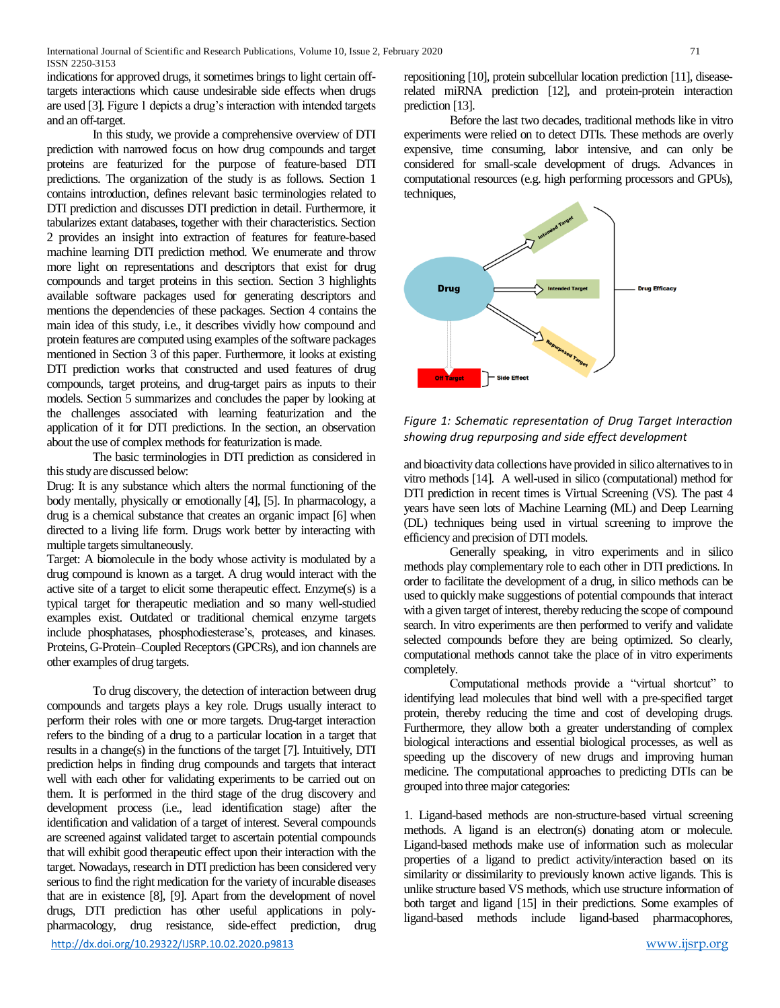indications for approved drugs, it sometimes brings to light certain offtargets interactions which cause undesirable side effects when drugs are used [3]. Figure 1 depicts a drug's interaction with intended targets and an off-target.

In this study, we provide a comprehensive overview of DTI prediction with narrowed focus on how drug compounds and target proteins are featurized for the purpose of feature-based DTI predictions. The organization of the study is as follows. Section 1 contains introduction, defines relevant basic terminologies related to DTI prediction and discusses DTI prediction in detail. Furthermore, it tabularizes extant databases, together with their characteristics. Section 2 provides an insight into extraction of features for feature-based machine learning DTI prediction method. We enumerate and throw more light on representations and descriptors that exist for drug compounds and target proteins in this section. Section 3 highlights available software packages used for generating descriptors and mentions the dependencies of these packages. Section 4 contains the main idea of this study, i.e., it describes vividly how compound and protein features are computed using examples of the software packages mentioned in Section 3 of this paper. Furthermore, it looks at existing DTI prediction works that constructed and used features of drug compounds, target proteins, and drug-target pairs as inputs to their models. Section 5 summarizes and concludes the paper by looking at the challenges associated with learning featurization and the application of it for DTI predictions. In the section, an observation about the use of complex methods for featurization is made.

The basic terminologies in DTI prediction as considered in this study are discussed below:

Drug: It is any substance which alters the normal functioning of the body mentally, physically or emotionally [4], [5]. In pharmacology, a drug is a chemical substance that creates an organic impact [6] when directed to a living life form. Drugs work better by interacting with multiple targets simultaneously.

Target: A biomolecule in the body whose activity is modulated by a drug compound is known as a target. A drug would interact with the active site of a target to elicit some therapeutic effect. Enzyme(s) is a typical target for therapeutic mediation and so many well-studied examples exist. Outdated or traditional chemical enzyme targets include phosphatases, phosphodiesterase's, proteases, and kinases. Proteins, G-Protein–Coupled Receptors(GPCRs), and ion channels are other examples of drug targets.

<http://dx.doi.org/10.29322/IJSRP.10.02.2020.p9813> [www.ijsrp.org](http://ijsrp.org/) To drug discovery, the detection of interaction between drug compounds and targets plays a key role. Drugs usually interact to perform their roles with one or more targets. Drug-target interaction refers to the binding of a drug to a particular location in a target that results in a change(s) in the functions of the target [7]. Intuitively, DTI prediction helps in finding drug compounds and targets that interact well with each other for validating experiments to be carried out on them. It is performed in the third stage of the drug discovery and development process (i.e., lead identification stage) after the identification and validation of a target of interest. Several compounds are screened against validated target to ascertain potential compounds that will exhibit good therapeutic effect upon their interaction with the target. Nowadays, research in DTI prediction has been considered very serious to find the right medication for the variety of incurable diseases that are in existence [8], [9]. Apart from the development of novel drugs, DTI prediction has other useful applications in polypharmacology, drug resistance, side-effect prediction, drug

repositioning [10], protein subcellular location prediction [11], diseaserelated miRNA prediction [12], and protein-protein interaction prediction [13].

Before the last two decades, traditional methods like in vitro experiments were relied on to detect DTIs. These methods are overly expensive, time consuming, labor intensive, and can only be considered for small-scale development of drugs. Advances in computational resources (e.g. high performing processors and GPUs), techniques,



*Figure 1: Schematic representation of Drug Target Interaction showing drug repurposing and side effect development*

and bioactivity data collections have provided in silico alternatives to in vitro methods [14]. A well-used in silico (computational) method for DTI prediction in recent times is Virtual Screening (VS). The past 4 years have seen lots of Machine Learning (ML) and Deep Learning (DL) techniques being used in virtual screening to improve the efficiency and precision of DTI models.

Generally speaking, in vitro experiments and in silico methods play complementary role to each other in DTI predictions. In order to facilitate the development of a drug, in silico methods can be used to quickly make suggestions of potential compounds that interact with a given target of interest, thereby reducing the scope of compound search. In vitro experiments are then performed to verify and validate selected compounds before they are being optimized. So clearly, computational methods cannot take the place of in vitro experiments completely.

Computational methods provide a "virtual shortcut" to identifying lead molecules that bind well with a pre-specified target protein, thereby reducing the time and cost of developing drugs. Furthermore, they allow both a greater understanding of complex biological interactions and essential biological processes, as well as speeding up the discovery of new drugs and improving human medicine. The computational approaches to predicting DTIs can be grouped into three major categories:

1. Ligand-based methods are non-structure-based virtual screening methods. A ligand is an electron(s) donating atom or molecule. Ligand-based methods make use of information such as molecular properties of a ligand to predict activity/interaction based on its similarity or dissimilarity to previously known active ligands. This is unlike structure based VS methods, which use structure information of both target and ligand [15] in their predictions. Some examples of ligand-based methods include ligand-based pharmacophores,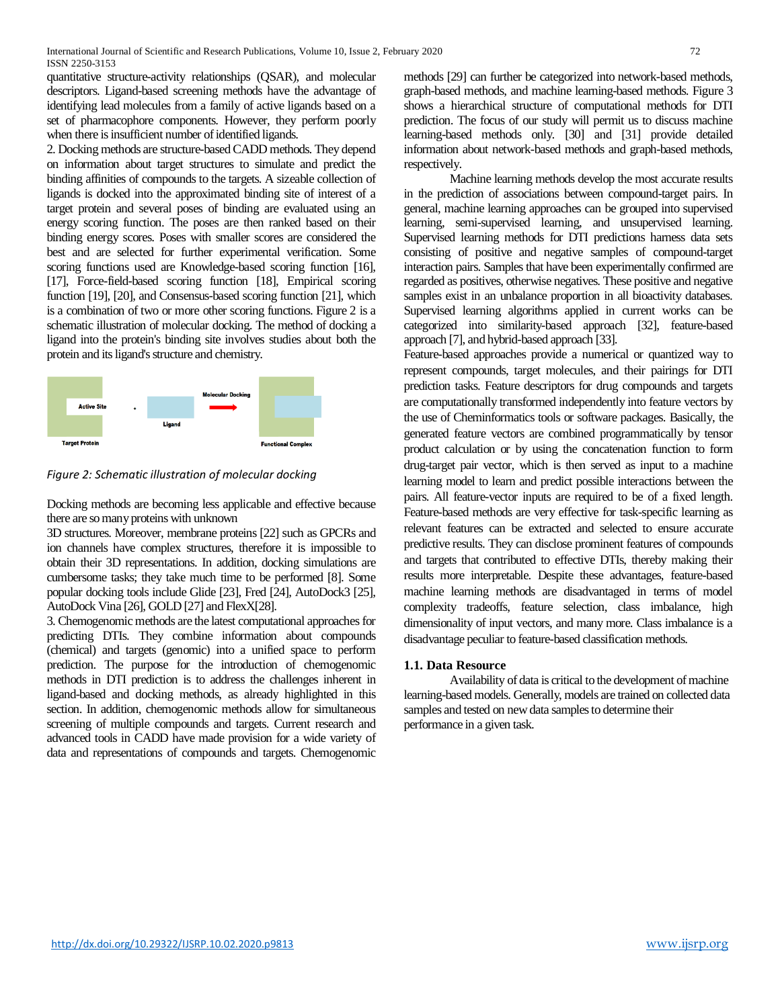quantitative structure-activity relationships (QSAR), and molecular descriptors. Ligand-based screening methods have the advantage of identifying lead molecules from a family of active ligands based on a set of pharmacophore components. However, they perform poorly when there is insufficient number of identified ligands.

2. Docking methods are structure-based CADD methods. They depend on information about target structures to simulate and predict the binding affinities of compounds to the targets. A sizeable collection of ligands is docked into the approximated binding site of interest of a target protein and several poses of binding are evaluated using an energy scoring function. The poses are then ranked based on their binding energy scores. Poses with smaller scores are considered the best and are selected for further experimental verification. Some scoring functions used are Knowledge-based scoring function [16], [17], Force-field-based scoring function [18], Empirical scoring function [19], [20], and Consensus-based scoring function [21], which is a combination of two or more other scoring functions. Figure 2 is a schematic illustration of molecular docking. The method of docking a ligand into the protein's binding site involves studies about both the protein and its ligand's structure and chemistry.



*Figure 2: Schematic illustration of molecular docking*

Docking methods are becoming less applicable and effective because there are so many proteins with unknown

3D structures. Moreover, membrane proteins [22] such as GPCRs and ion channels have complex structures, therefore it is impossible to obtain their 3D representations. In addition, docking simulations are cumbersome tasks; they take much time to be performed [8]. Some popular docking tools include Glide [23], Fred [24], AutoDock3 [25], AutoDock Vina [26], GOLD [27] and FlexX[28].

3. Chemogenomic methods are the latest computational approaches for predicting DTIs. They combine information about compounds (chemical) and targets (genomic) into a unified space to perform prediction. The purpose for the introduction of chemogenomic methods in DTI prediction is to address the challenges inherent in ligand-based and docking methods, as already highlighted in this section. In addition, chemogenomic methods allow for simultaneous screening of multiple compounds and targets. Current research and advanced tools in CADD have made provision for a wide variety of data and representations of compounds and targets. Chemogenomic

methods [29] can further be categorized into network-based methods, graph-based methods, and machine learning-based methods. Figure 3 shows a hierarchical structure of computational methods for DTI prediction. The focus of our study will permit us to discuss machine learning-based methods only. [30] and [31] provide detailed information about network-based methods and graph-based methods, respectively.

Machine learning methods develop the most accurate results in the prediction of associations between compound-target pairs. In general, machine learning approaches can be grouped into supervised learning, semi-supervised learning, and unsupervised learning. Supervised learning methods for DTI predictions harness data sets consisting of positive and negative samples of compound-target interaction pairs. Samples that have been experimentally confirmed are regarded as positives, otherwise negatives. These positive and negative samples exist in an unbalance proportion in all bioactivity databases. Supervised learning algorithms applied in current works can be categorized into similarity-based approach [32], feature-based approach [7], and hybrid-based approach [33].

Feature-based approaches provide a numerical or quantized way to represent compounds, target molecules, and their pairings for DTI prediction tasks. Feature descriptors for drug compounds and targets are computationally transformed independently into feature vectors by the use of Cheminformatics tools or software packages. Basically, the generated feature vectors are combined programmatically by tensor product calculation or by using the concatenation function to form drug-target pair vector, which is then served as input to a machine learning model to learn and predict possible interactions between the pairs. All feature-vector inputs are required to be of a fixed length. Feature-based methods are very effective for task-specific learning as relevant features can be extracted and selected to ensure accurate predictive results. They can disclose prominent features of compounds and targets that contributed to effective DTIs, thereby making their results more interpretable. Despite these advantages, feature-based machine learning methods are disadvantaged in terms of model complexity tradeoffs, feature selection, class imbalance, high dimensionality of input vectors, and many more. Class imbalance is a disadvantage peculiar to feature-based classification methods.

## **1.1. Data Resource**

Availability of data is critical to the development of machine learning-based models. Generally, models are trained on collected data samples and tested on new data samples to determine their performance in a given task.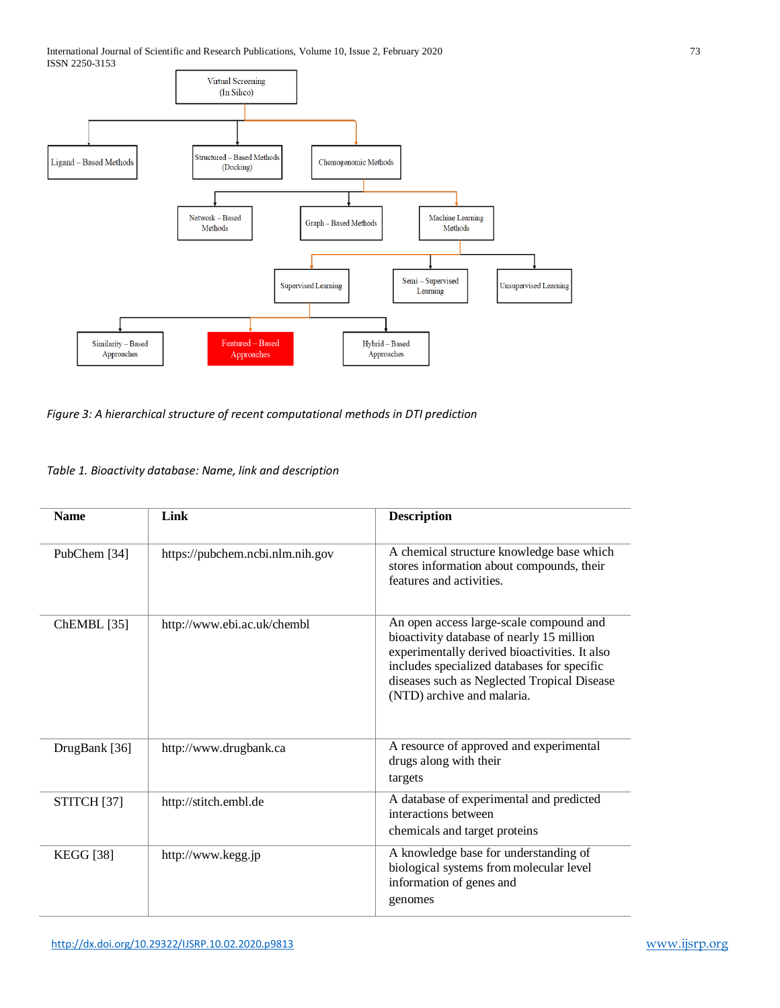International Journal of Scientific and Research Publications, Volume 10, Issue 2, February 2020 73 ISSN 2250-3153



*Figure 3: A hierarchical structure of recent computational methods in DTI prediction*

# *Table 1. Bioactivity database: Name, link and description*

| <b>Name</b>            | Link                             | <b>Description</b>                                                                                                                                                                                                                                                |
|------------------------|----------------------------------|-------------------------------------------------------------------------------------------------------------------------------------------------------------------------------------------------------------------------------------------------------------------|
| PubChem [34]           | https://pubchem.ncbi.nlm.nih.gov | A chemical structure knowledge base which<br>stores information about compounds, their<br>features and activities.                                                                                                                                                |
| ChEMBL [35]            | http://www.ebi.ac.uk/chembl      | An open access large-scale compound and<br>bioactivity database of nearly 15 million<br>experimentally derived bioactivities. It also<br>includes specialized databases for specific<br>diseases such as Neglected Tropical Disease<br>(NTD) archive and malaria. |
| DrugBank [36]          | http://www.drugbank.ca           | A resource of approved and experimental<br>drugs along with their<br>targets                                                                                                                                                                                      |
| STITCH <sup>[37]</sup> | http://stitch.embl.de            | A database of experimental and predicted<br>interactions between<br>chemicals and target proteins                                                                                                                                                                 |
| <b>KEGG</b> [38]       | http://www.kegg.jp               | A knowledge base for understanding of<br>biological systems from molecular level<br>information of genes and<br>genomes                                                                                                                                           |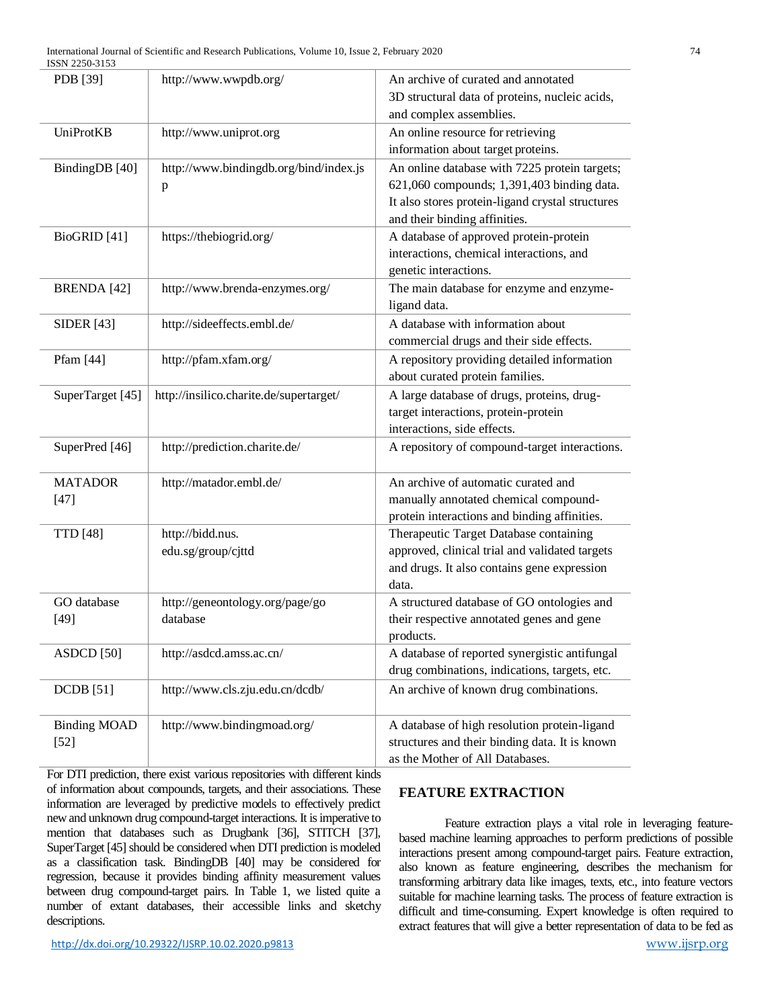| PDB [39]                | http://www.wwpdb.org/                   | An archive of curated and annotated              |
|-------------------------|-----------------------------------------|--------------------------------------------------|
|                         |                                         | 3D structural data of proteins, nucleic acids,   |
|                         |                                         | and complex assemblies.                          |
| UniProtKB               | http://www.uniprot.org                  | An online resource for retrieving                |
|                         |                                         | information about target proteins.               |
| BindingDB [40]          | http://www.bindingdb.org/bind/index.js  | An online database with 7225 protein targets;    |
|                         | p                                       | 621,060 compounds; 1,391,403 binding data.       |
|                         |                                         | It also stores protein-ligand crystal structures |
|                         |                                         | and their binding affinities.                    |
| BioGRID <sup>[41]</sup> | https://thebiogrid.org/                 | A database of approved protein-protein           |
|                         |                                         | interactions, chemical interactions, and         |
|                         |                                         | genetic interactions.                            |
| <b>BRENDA</b> [42]      | http://www.brenda-enzymes.org/          | The main database for enzyme and enzyme-         |
|                         |                                         | ligand data.                                     |
| <b>SIDER</b> [43]       | http://sideeffects.embl.de/             | A database with information about                |
|                         |                                         | commercial drugs and their side effects.         |
| Pfam [44]               | http://pfam.xfam.org/                   | A repository providing detailed information      |
|                         |                                         | about curated protein families.                  |
| SuperTarget [45]        | http://insilico.charite.de/supertarget/ | A large database of drugs, proteins, drug-       |
|                         |                                         | target interactions, protein-protein             |
|                         |                                         | interactions, side effects.                      |
| SuperPred [46]          | http://prediction.charite.de/           | A repository of compound-target interactions.    |
| <b>MATADOR</b>          | http://matador.embl.de/                 | An archive of automatic curated and              |
| $[47]$                  |                                         | manually annotated chemical compound-            |
|                         |                                         | protein interactions and binding affinities.     |
| <b>TTD</b> [48]         | http://bidd.nus.                        | Therapeutic Target Database containing           |
|                         | edu.sg/group/cjttd                      | approved, clinical trial and validated targets   |
|                         |                                         | and drugs. It also contains gene expression      |
|                         |                                         | data.                                            |
| GO database             | http://geneontology.org/page/go         | A structured database of GO ontologies and       |
| $[49]$                  | database                                | their respective annotated genes and gene        |
|                         |                                         | products.                                        |
| ASDCD [50]              | http://asdcd.amss.ac.cn/                | A database of reported synergistic antifungal    |
|                         |                                         | drug combinations, indications, targets, etc.    |
| <b>DCDB</b> [51]        | http://www.cls.zju.edu.cn/dcdb/         | An archive of known drug combinations.           |
| <b>Binding MOAD</b>     | http://www.bindingmoad.org/             | A database of high resolution protein-ligand     |
| $[52]$                  |                                         | structures and their binding data. It is known   |
|                         |                                         | as the Mother of All Databases.                  |

For DTI prediction, there exist various repositories with different kinds of information about compounds, targets, and their associations. These information are leveraged by predictive models to effectively predict new and unknown drug compound-target interactions. It is imperative to mention that databases such as Drugbank [36], STITCH [37], SuperTarget [45] should be considered when DTI prediction is modeled as a classification task. BindingDB [40] may be considered for regression, because it provides binding affinity measurement values between drug compound-target pairs. In Table 1, we listed quite a number of extant databases, their accessible links and sketchy descriptions.

# **FEATURE EXTRACTION**

Feature extraction plays a vital role in leveraging featurebased machine learning approaches to perform predictions of possible interactions present among compound-target pairs. Feature extraction, also known as feature engineering, describes the mechanism for transforming arbitrary data like images, texts, etc., into feature vectors suitable for machine learning tasks. The process of feature extraction is difficult and time-consuming. Expert knowledge is often required to extract features that will give a better representation of data to be fed as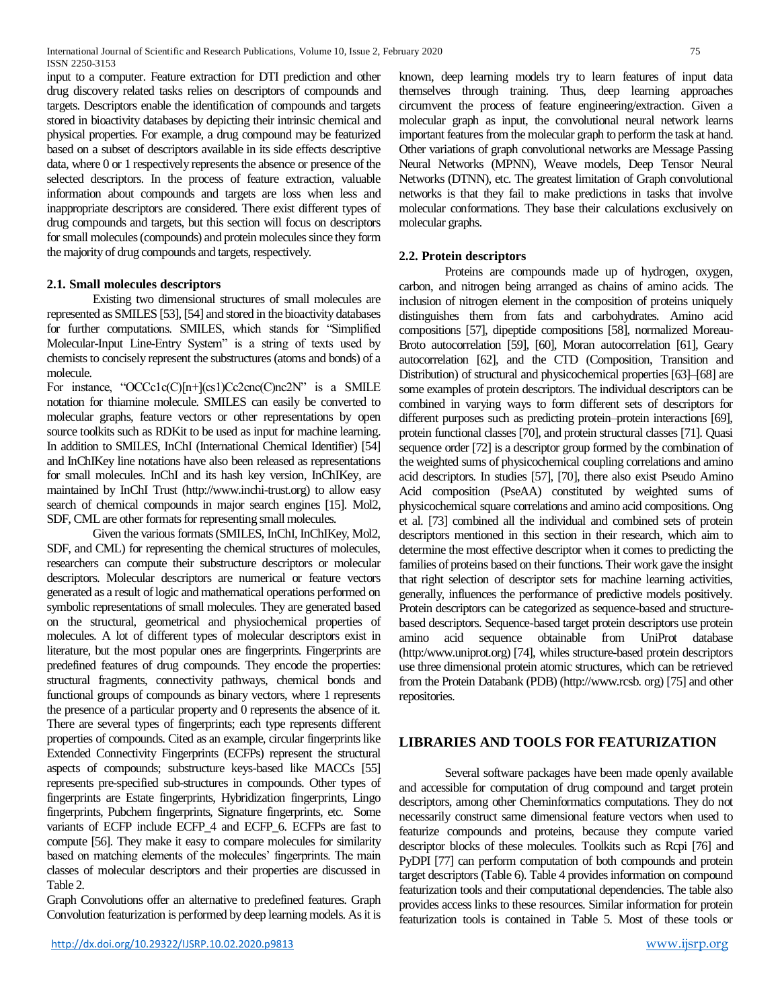International Journal of Scientific and Research Publications, Volume 10, Issue 2, February 2020 75 ISSN 2250-3153

input to a computer. Feature extraction for DTI prediction and other drug discovery related tasks relies on descriptors of compounds and targets. Descriptors enable the identification of compounds and targets stored in bioactivity databases by depicting their intrinsic chemical and physical properties. For example, a drug compound may be featurized based on a subset of descriptors available in its side effects descriptive data, where 0 or 1 respectively represents the absence or presence of the selected descriptors. In the process of feature extraction, valuable information about compounds and targets are loss when less and inappropriate descriptors are considered. There exist different types of drug compounds and targets, but this section will focus on descriptors for small molecules (compounds) and protein molecules since they form the majority of drug compounds and targets, respectively.

#### **2.1. Small molecules descriptors**

Existing two dimensional structures of small molecules are represented as SMILES [53], [54] and stored in the bioactivity databases for further computations. SMILES, which stands for "Simplified Molecular-Input Line-Entry System" is a string of texts used by chemists to concisely represent the substructures (atoms and bonds) of a molecule.

For instance, "OCCc1c(C)[n+](cs1)Cc2cnc(C)nc2N" is a SMILE notation for thiamine molecule. SMILES can easily be converted to molecular graphs, feature vectors or other representations by open source toolkits such as RDKit to be used as input for machine learning. In addition to SMILES, InChI (International Chemical Identifier) [54] and InChIKey line notations have also been released as representations for small molecules. InChI and its hash key version, InChIKey, are maintained by InChI Trust (http://www.inchi-trust.org) to allow easy search of chemical compounds in major search engines [15]. Mol2, SDF, CML are other formats for representing small molecules.

Given the various formats (SMILES, InChI, InChIKey, Mol2, SDF, and CML) for representing the chemical structures of molecules, researchers can compute their substructure descriptors or molecular descriptors. Molecular descriptors are numerical or feature vectors generated as a result of logic and mathematical operations performed on symbolic representations of small molecules. They are generated based on the structural, geometrical and physiochemical properties of molecules. A lot of different types of molecular descriptors exist in literature, but the most popular ones are fingerprints. Fingerprints are predefined features of drug compounds. They encode the properties: structural fragments, connectivity pathways, chemical bonds and functional groups of compounds as binary vectors, where 1 represents the presence of a particular property and 0 represents the absence of it. There are several types of fingerprints; each type represents different properties of compounds. Cited as an example, circular fingerprints like Extended Connectivity Fingerprints (ECFPs) represent the structural aspects of compounds; substructure keys-based like MACCs [55] represents pre-specified sub-structures in compounds. Other types of fingerprints are Estate fingerprints, Hybridization fingerprints, Lingo fingerprints, Pubchem fingerprints, Signature fingerprints, etc. Some variants of ECFP include ECFP\_4 and ECFP\_6. ECFPs are fast to compute [56]. They make it easy to compare molecules for similarity based on matching elements of the molecules' fingerprints. The main classes of molecular descriptors and their properties are discussed in Table 2.

Graph Convolutions offer an alternative to predefined features. Graph Convolution featurization is performed by deep learning models. As it is known, deep learning models try to learn features of input data themselves through training. Thus, deep learning approaches circumvent the process of feature engineering/extraction. Given a molecular graph as input, the convolutional neural network learns important features from the molecular graph to perform the task at hand. Other variations of graph convolutional networks are Message Passing Neural Networks (MPNN), Weave models, Deep Tensor Neural Networks (DTNN), etc. The greatest limitation of Graph convolutional networks is that they fail to make predictions in tasks that involve molecular conformations. They base their calculations exclusively on molecular graphs.

#### **2.2. Protein descriptors**

Proteins are compounds made up of hydrogen, oxygen, carbon, and nitrogen being arranged as chains of amino acids. The inclusion of nitrogen element in the composition of proteins uniquely distinguishes them from fats and carbohydrates. Amino acid compositions [57], dipeptide compositions [58], normalized Moreau-Broto autocorrelation [59], [60], Moran autocorrelation [61], Geary autocorrelation [62], and the CTD (Composition, Transition and Distribution) of structural and physicochemical properties [63]–[68] are some examples of protein descriptors. The individual descriptors can be combined in varying ways to form different sets of descriptors for different purposes such as predicting protein–protein interactions [69], protein functional classes [70], and protein structural classes [71]. Quasi sequence order [72] is a descriptor group formed by the combination of the weighted sums of physicochemical coupling correlations and amino acid descriptors. In studies [57], [70], there also exist Pseudo Amino Acid composition (PseAA) constituted by weighted sums of physicochemical square correlations and amino acid compositions. Ong et al. [73] combined all the individual and combined sets of protein descriptors mentioned in this section in their research, which aim to determine the most effective descriptor when it comes to predicting the families of proteins based on their functions. Their work gave the insight that right selection of descriptor sets for machine learning activities, generally, influences the performance of predictive models positively. Protein descriptors can be categorized as sequence-based and structurebased descriptors. Sequence-based target protein descriptors use protein amino acid sequence obtainable from UniProt database (http:/www.uniprot.org) [74], whiles structure-based protein descriptors use three dimensional protein atomic structures, which can be retrieved from the Protein Databank (PDB) (http://www.rcsb. org) [75] and other repositories.

# **LIBRARIES AND TOOLS FOR FEATURIZATION**

Several software packages have been made openly available and accessible for computation of drug compound and target protein descriptors, among other Cheminformatics computations. They do not necessarily construct same dimensional feature vectors when used to featurize compounds and proteins, because they compute varied descriptor blocks of these molecules. Toolkits such as Rcpi [76] and PyDPI [77] can perform computation of both compounds and protein target descriptors (Table 6). Table 4 provides information on compound featurization tools and their computational dependencies. The table also provides access links to these resources. Similar information for protein featurization tools is contained in Table 5. Most of these tools or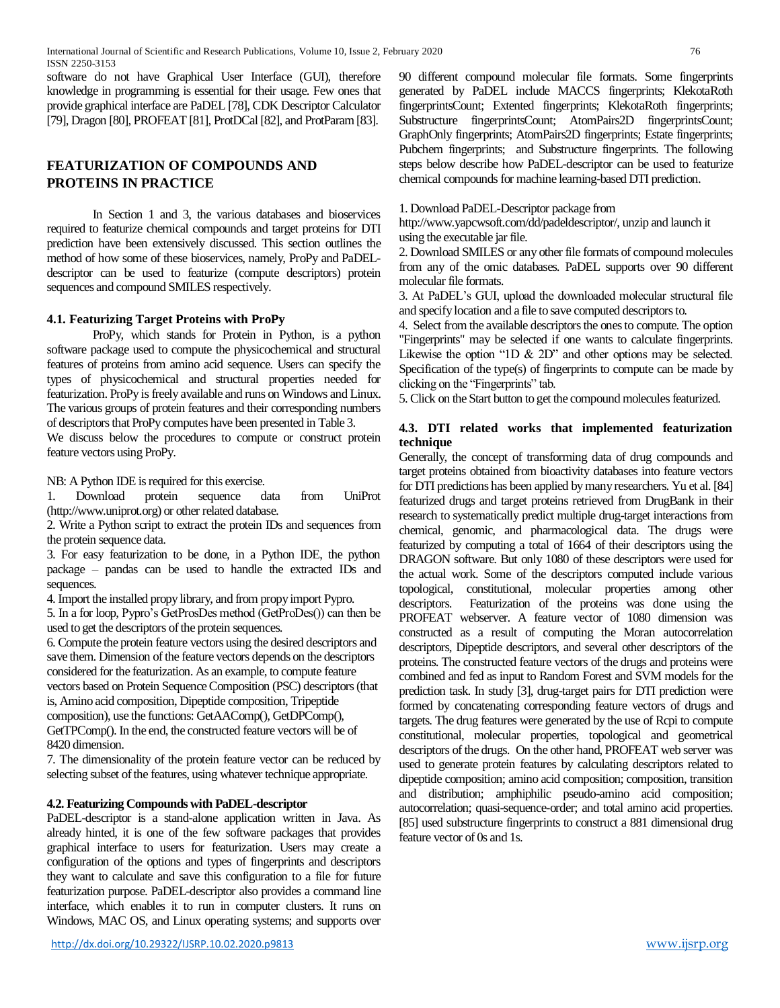software do not have Graphical User Interface (GUI), therefore knowledge in programming is essential for their usage. Few ones that provide graphical interface are PaDEL [78], CDK Descriptor Calculator [79], Dragon [80], PROFEAT [81], ProtDCal [82], and ProtParam [83].

# **FEATURIZATION OF COMPOUNDS AND PROTEINS IN PRACTICE**

In Section 1 and 3, the various databases and bioservices required to featurize chemical compounds and target proteins for DTI prediction have been extensively discussed. This section outlines the method of how some of these bioservices, namely, ProPy and PaDELdescriptor can be used to featurize (compute descriptors) protein sequences and compound SMILES respectively.

## **4.1. Featurizing Target Proteins with ProPy**

ProPy, which stands for Protein in Python, is a python software package used to compute the physicochemical and structural features of proteins from amino acid sequence. Users can specify the types of physicochemical and structural properties needed for featurization. ProPy is freely available and runs on Windows and Linux. The various groups of protein features and their corresponding numbers of descriptors that ProPy computes have been presented in Table 3.

We discuss below the procedures to compute or construct protein feature vectors using ProPy.

NB: A Python IDE is required for this exercise.

1. Download protein sequence data from UniProt (http://www.uniprot.org) or other related database.

2. Write a Python script to extract the protein IDs and sequences from the protein sequence data.

3. For easy featurization to be done, in a Python IDE, the python package – pandas can be used to handle the extracted IDs and sequences.

4. Import the installed propy library, and from propy import Pypro.

5. In a for loop, Pypro's GetProsDes method (GetProDes()) can then be used to get the descriptors of the protein sequences.

6. Compute the protein feature vectors using the desired descriptors and save them. Dimension of the feature vectors depends on the descriptors considered for the featurization. As an example, to compute feature vectors based on Protein Sequence Composition (PSC) descriptors (that is, Amino acid composition, Dipeptide composition, Tripeptide composition), use the functions: GetAAComp(), GetDPComp(), GetTPComp(). In the end, the constructed feature vectors will be of 8420 dimension.

7. The dimensionality of the protein feature vector can be reduced by selecting subset of the features, using whatever technique appropriate.

## **4.2. Featurizing Compounds with PaDEL-descriptor**

PaDEL-descriptor is a stand-alone application written in Java. As already hinted, it is one of the few software packages that provides graphical interface to users for featurization. Users may create a configuration of the options and types of fingerprints and descriptors they want to calculate and save this configuration to a file for future featurization purpose. PaDEL-descriptor also provides a command line interface, which enables it to run in computer clusters. It runs on Windows, MAC OS, and Linux operating systems; and supports over

90 different compound molecular file formats. Some fingerprints generated by PaDEL include MACCS fingerprints; KlekotaRoth fingerprintsCount; Extented fingerprints; KlekotaRoth fingerprints; Substructure fingerprintsCount; AtomPairs2D fingerprintsCount; GraphOnly fingerprints; AtomPairs2D fingerprints; Estate fingerprints; Pubchem fingerprints; and Substructure fingerprints. The following steps below describe how PaDEL-descriptor can be used to featurize chemical compounds for machine learning-based DTI prediction.

### 1. Download PaDEL-Descriptor package from

http://www.yapcwsoft.com/dd/padeldescriptor/, unzip and launch it using the executable jar file.

2. Download SMILES or any other file formats of compound molecules from any of the omic databases. PaDEL supports over 90 different molecular file formats.

3. At PaDEL's GUI, upload the downloaded molecular structural file and specify location and a file to save computed descriptors to.

4. Select from the available descriptors the ones to compute. The option "Fingerprints" may be selected if one wants to calculate fingerprints. Likewise the option "1D & 2D" and other options may be selected. Specification of the type(s) of fingerprints to compute can be made by clicking on the "Fingerprints" tab.

5. Click on the Start button to get the compound molecules featurized.

## **4.3. DTI related works that implemented featurization technique**

Generally, the concept of transforming data of drug compounds and target proteins obtained from bioactivity databases into feature vectors for DTI predictions has been applied by many researchers. Yu et al. [84] featurized drugs and target proteins retrieved from DrugBank in their research to systematically predict multiple drug-target interactions from chemical, genomic, and pharmacological data. The drugs were featurized by computing a total of 1664 of their descriptors using the DRAGON software. But only 1080 of these descriptors were used for the actual work. Some of the descriptors computed include various topological, constitutional, molecular properties among other descriptors. Featurization of the proteins was done using the PROFEAT webserver. A feature vector of 1080 dimension was constructed as a result of computing the Moran autocorrelation descriptors, Dipeptide descriptors, and several other descriptors of the proteins. The constructed feature vectors of the drugs and proteins were combined and fed as input to Random Forest and SVM models for the prediction task. In study [3], drug-target pairs for DTI prediction were formed by concatenating corresponding feature vectors of drugs and targets. The drug features were generated by the use of Rcpi to compute constitutional, molecular properties, topological and geometrical descriptors of the drugs. On the other hand, PROFEAT web server was used to generate protein features by calculating descriptors related to dipeptide composition; amino acid composition; composition, transition and distribution; amphiphilic pseudo-amino acid composition; autocorrelation; quasi-sequence-order; and total amino acid properties. [85] used substructure fingerprints to construct a 881 dimensional drug feature vector of 0s and 1s.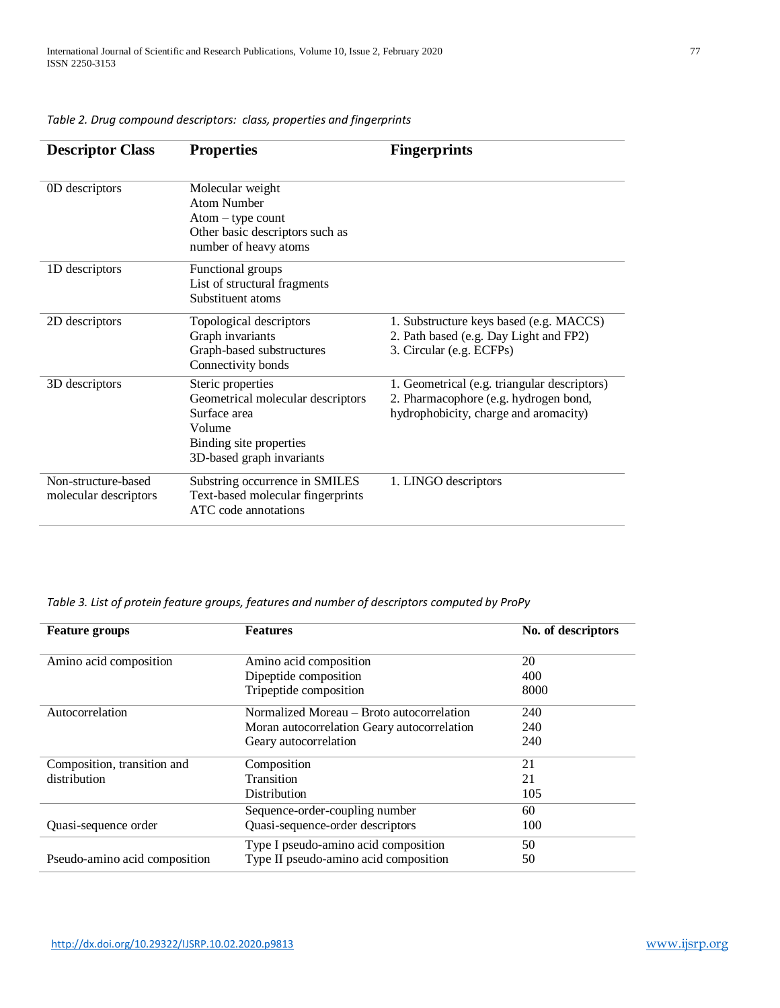| <b>Descriptor Class</b>                      | <b>Properties</b>                                                                                                                        | <b>Fingerprints</b>                                                                                                            |
|----------------------------------------------|------------------------------------------------------------------------------------------------------------------------------------------|--------------------------------------------------------------------------------------------------------------------------------|
| 0D descriptors                               | Molecular weight<br>Atom Number<br>$Atom - type count$<br>Other basic descriptors such as<br>number of heavy atoms                       |                                                                                                                                |
| 1D descriptors                               | Functional groups<br>List of structural fragments<br>Substituent atoms                                                                   |                                                                                                                                |
| 2D descriptors                               | Topological descriptors<br>Graph invariants<br>Graph-based substructures<br>Connectivity bonds                                           | 1. Substructure keys based (e.g. MACCS)<br>2. Path based (e.g. Day Light and FP2)<br>3. Circular (e.g. ECFPs)                  |
| 3D descriptors                               | Steric properties<br>Geometrical molecular descriptors<br>Surface area<br>Volume<br>Binding site properties<br>3D-based graph invariants | 1. Geometrical (e.g. triangular descriptors)<br>2. Pharmacophore (e.g. hydrogen bond,<br>hydrophobicity, charge and aromacity) |
| Non-structure-based<br>molecular descriptors | Substring occurrence in SMILES<br>Text-based molecular fingerprints<br>ATC code annotations                                              | 1. LINGO descriptors                                                                                                           |

*Table 2. Drug compound descriptors: class, properties and fingerprints*

| Table 3. List of protein feature groups, features and number of descriptors computed by ProPy |  |  |  |  |  |
|-----------------------------------------------------------------------------------------------|--|--|--|--|--|
|-----------------------------------------------------------------------------------------------|--|--|--|--|--|

| <b>Feature groups</b>                            | <b>Features</b>                             | No. of descriptors |
|--------------------------------------------------|---------------------------------------------|--------------------|
| Amino acid composition<br>Amino acid composition |                                             | 20                 |
|                                                  | Dipeptide composition                       | 400                |
|                                                  | Tripeptide composition                      | 8000               |
| Autocorrelation                                  | Normalized Moreau – Broto autocorrelation   | 240                |
|                                                  | Moran autocorrelation Geary autocorrelation | 240                |
|                                                  | Geary autocorrelation                       | 240                |
| Composition, transition and                      | Composition                                 | 21                 |
| distribution                                     | Transition                                  | 21                 |
|                                                  | Distribution                                | 105                |
|                                                  | Sequence-order-coupling number              | 60                 |
| Quasi-sequence order                             | Quasi-sequence-order descriptors            | 100                |
|                                                  | Type I pseudo-amino acid composition        | 50                 |
| Pseudo-amino acid composition                    | Type II pseudo-amino acid composition       | 50                 |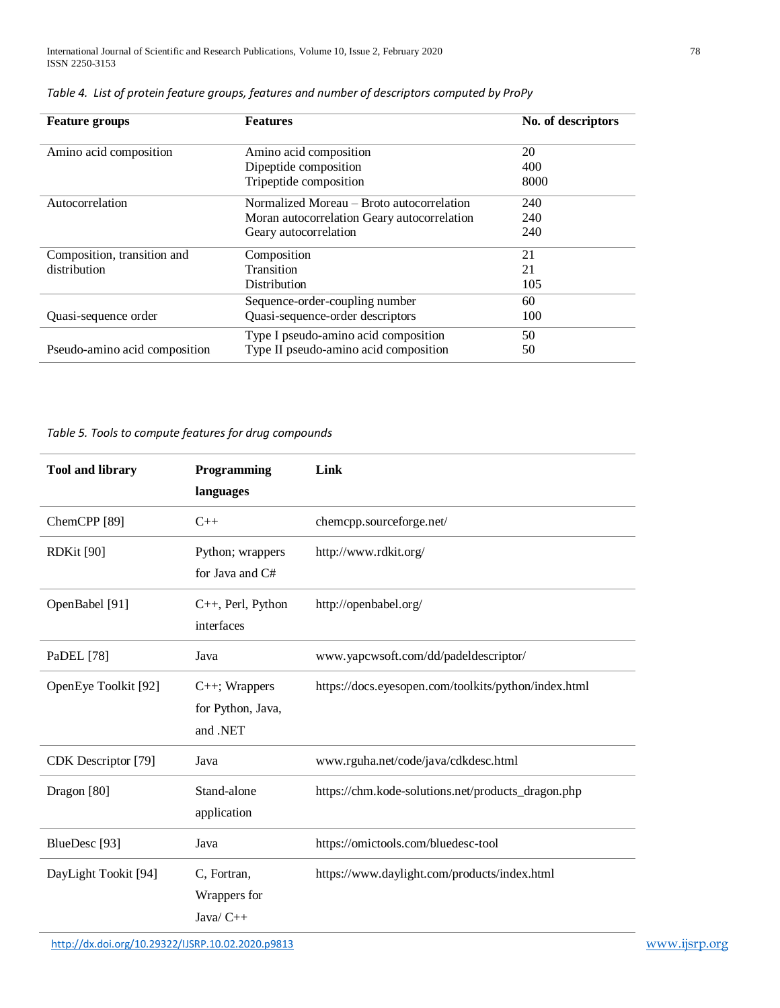| <b>Features</b><br><b>Feature groups</b>                               |                                             | No. of descriptors |
|------------------------------------------------------------------------|---------------------------------------------|--------------------|
| Amino acid composition                                                 | Amino acid composition                      | 20                 |
|                                                                        | Dipeptide composition                       | 400                |
|                                                                        | Tripeptide composition                      | 8000               |
| Autocorrelation                                                        | Normalized Moreau – Broto autocorrelation   | 240                |
|                                                                        | Moran autocorrelation Geary autocorrelation | 240                |
|                                                                        | Geary autocorrelation                       | 240                |
| Composition, transition and                                            | Composition                                 | 21                 |
| distribution                                                           | Transition                                  | 21                 |
|                                                                        | Distribution                                | 105                |
|                                                                        | Sequence-order-coupling number              | 60                 |
| Quasi-sequence order                                                   | Quasi-sequence-order descriptors            | 100                |
|                                                                        | Type I pseudo-amino acid composition        | 50                 |
| Type II pseudo-amino acid composition<br>Pseudo-amino acid composition |                                             | 50                 |

*Table 4. List of protein feature groups, features and number of descriptors computed by ProPy*

*Table 5. Tools to compute features for drug compounds*

| <b>Tool and library</b>  | Programming<br>languages                             | Link                                                 |
|--------------------------|------------------------------------------------------|------------------------------------------------------|
| ChemCPP <sup>[89]</sup>  | $C++$                                                | chemcpp.sourceforge.net/                             |
| <b>RDKit [90]</b>        | Python; wrappers<br>for Java and C#                  | http://www.rdkit.org/                                |
| OpenBabel [91]           | C++, Perl, Python<br>interfaces                      | http://openbabel.org/                                |
| PaDEL [78]               | Java                                                 | www.yapcwsoft.com/dd/padeldescriptor/                |
| OpenEye Toolkit [92]     | $C_{++}$ ; Wrappers<br>for Python, Java,<br>and .NET | https://docs.eyesopen.com/toolkits/python/index.html |
| CDK Descriptor [79]      | Java                                                 | www.rguha.net/code/java/cdkdesc.html                 |
| Dragon [80]              | Stand-alone<br>application                           | https://chm.kode-solutions.net/products_dragon.php   |
| BlueDesc <sup>[93]</sup> | Java                                                 | https://omictools.com/bluedesc-tool                  |
| DayLight Tookit [94]     | C, Fortran,<br>Wrappers for<br>Java/ C++             | https://www.daylight.com/products/index.html         |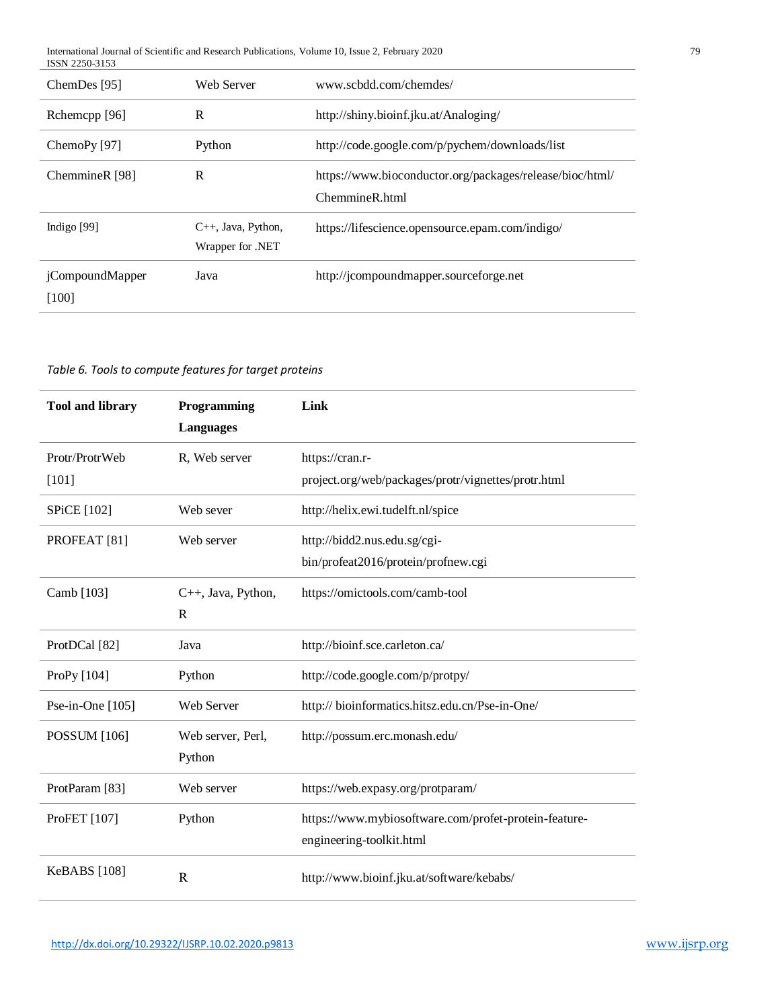| International Journal of Scientific and Research Publications. Volume 10, Issue 2, February 2<br>2020 | 70 |
|-------------------------------------------------------------------------------------------------------|----|
| ISSN 2250-3153                                                                                        |    |

| ChemDes [95]                     | Web Server                                   | www.scbdd.com/chemdes/                                                     |
|----------------------------------|----------------------------------------------|----------------------------------------------------------------------------|
| Rchemcpp [96]                    | R                                            | http://shiny.bioinf.jku.at/Analoging/                                      |
| ChemoPy [97]                     | Python                                       | http://code.google.com/p/pychem/downloads/list                             |
| ChemmineR [98]                   | R                                            | https://www.bioconductor.org/packages/release/bioc/html/<br>ChemmineR.html |
| Indigo $[99]$                    | $C_{++}$ , Java, Python,<br>Wrapper for .NET | https://lifescience.opensource.epam.com/indigo/                            |
| <i>i</i> CompoundMapper<br>[100] | Java                                         | http://jcompoundmapper.sourceforge.net                                     |

*Table 6. Tools to compute features for target proteins*

| <b>Tool and library</b>   | Programming<br><b>Languages</b> | Link                                                                              |
|---------------------------|---------------------------------|-----------------------------------------------------------------------------------|
| Protr/ProtrWeb<br>[101]   | R, Web server                   | https://cran.r-<br>project.org/web/packages/protr/vignettes/protr.html            |
| <b>SPiCE</b> [102]        | Web sever                       | http://helix.ewi.tudelft.nl/spice                                                 |
| PROFEAT <sup>[81]</sup>   | Web server                      | http://bidd2.nus.edu.sg/cgi-<br>bin/profeat2016/protein/profnew.cgi               |
| Camb [103]                | C++, Java, Python,<br>R         | https://omictools.com/camb-tool                                                   |
| ProtDCal [82]             | Java                            | http://bioinf.sce.carleton.ca/                                                    |
| ProPy [104]               | Python                          | http://code.google.com/p/protpy/                                                  |
| Pse-in-One [105]          | Web Server                      | http:// bioinformatics.hitsz.edu.cn/Pse-in-One/                                   |
| <b>POSSUM</b> [106]       | Web server, Perl,<br>Python     | http://possum.erc.monash.edu/                                                     |
| ProtParam <sup>[83]</sup> | Web server                      | https://web.expasy.org/protparam/                                                 |
| ProFET [107]              | Python                          | https://www.mybiosoftware.com/profet-protein-feature-<br>engineering-toolkit.html |
| <b>KeBABS</b> [108]       | $\mathbf R$                     | http://www.bioinf.jku.at/software/kebabs/                                         |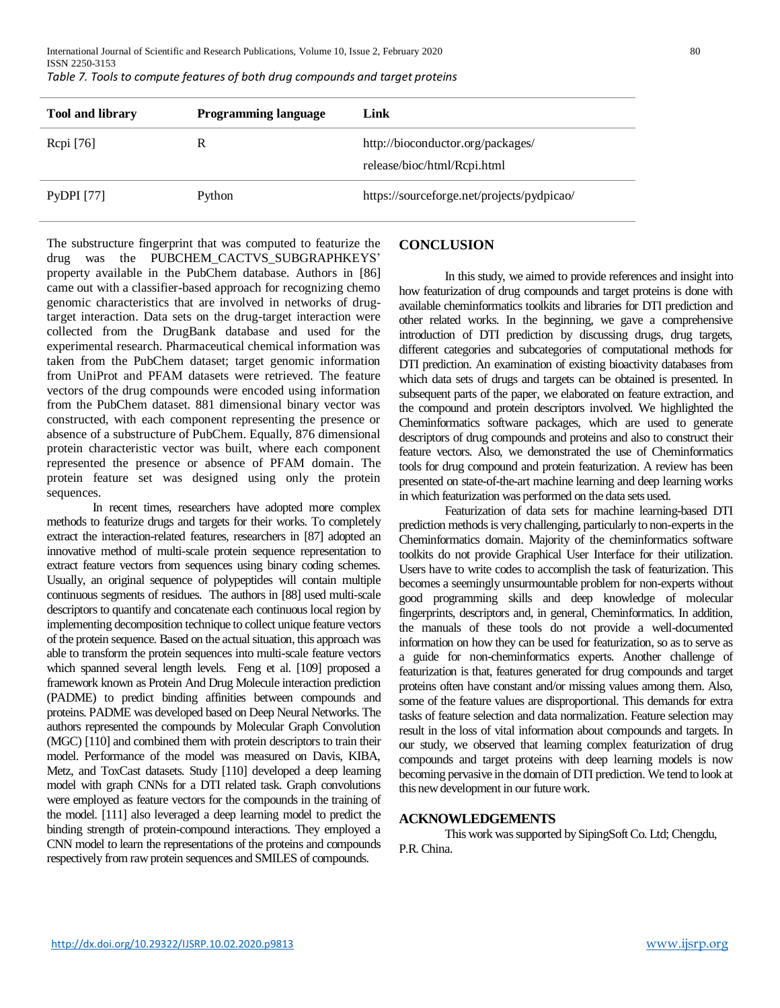International Journal of Scientific and Research Publications, Volume 10, Issue 2, February 2020 80 ISSN 2250-3153 *Table 7. Tools to compute features of both drug compounds and target proteins*

| <b>Tool and library</b> | <b>Programming language</b> | Link                                                             |
|-------------------------|-----------------------------|------------------------------------------------------------------|
| Repi [76]               |                             | http://bioconductor.org/packages/<br>release/bioc/html/Rcpi.html |
| PyDPI $[77]$            | Python                      | https://sourceforge.net/projects/pydpicao/                       |

The substructure fingerprint that was computed to featurize the drug was the PUBCHEM\_CACTVS\_SUBGRAPHKEYS' property available in the PubChem database. Authors in [86] came out with a classifier-based approach for recognizing chemo genomic characteristics that are involved in networks of drugtarget interaction. Data sets on the drug-target interaction were collected from the DrugBank database and used for the experimental research. Pharmaceutical chemical information was taken from the PubChem dataset; target genomic information from UniProt and PFAM datasets were retrieved. The feature vectors of the drug compounds were encoded using information from the PubChem dataset. 881 dimensional binary vector was constructed, with each component representing the presence or absence of a substructure of PubChem. Equally, 876 dimensional protein characteristic vector was built, where each component represented the presence or absence of PFAM domain. The protein feature set was designed using only the protein sequences.

In recent times, researchers have adopted more complex methods to featurize drugs and targets for their works. To completely extract the interaction-related features, researchers in [87] adopted an innovative method of multi-scale protein sequence representation to extract feature vectors from sequences using binary coding schemes. Usually, an original sequence of polypeptides will contain multiple continuous segments of residues. The authors in [88] used multi-scale descriptors to quantify and concatenate each continuous local region by implementing decomposition technique to collect unique feature vectors of the protein sequence. Based on the actual situation, this approach was able to transform the protein sequences into multi-scale feature vectors which spanned several length levels. Feng et al. [109] proposed a framework known as Protein And Drug Molecule interaction prediction (PADME) to predict binding affinities between compounds and proteins. PADME was developed based on Deep Neural Networks. The authors represented the compounds by Molecular Graph Convolution (MGC) [110] and combined them with protein descriptors to train their model. Performance of the model was measured on Davis, KIBA, Metz, and ToxCast datasets. Study [110] developed a deep learning model with graph CNNs for a DTI related task. Graph convolutions were employed as feature vectors for the compounds in the training of the model. [111] also leveraged a deep learning model to predict the binding strength of protein-compound interactions. They employed a CNN model to learn the representations of the proteins and compounds respectively from raw protein sequences and SMILES of compounds.

# **CONCLUSION**

In this study, we aimed to provide references and insight into how featurization of drug compounds and target proteins is done with available cheminformatics toolkits and libraries for DTI prediction and other related works. In the beginning, we gave a comprehensive introduction of DTI prediction by discussing drugs, drug targets, different categories and subcategories of computational methods for DTI prediction. An examination of existing bioactivity databases from which data sets of drugs and targets can be obtained is presented. In subsequent parts of the paper, we elaborated on feature extraction, and the compound and protein descriptors involved. We highlighted the Cheminformatics software packages, which are used to generate descriptors of drug compounds and proteins and also to construct their feature vectors. Also, we demonstrated the use of Cheminformatics tools for drug compound and protein featurization. A review has been presented on state-of-the-art machine learning and deep learning works in which featurization was performed on the data sets used.

Featurization of data sets for machine learning-based DTI prediction methods is very challenging, particularly to non-experts in the Cheminformatics domain. Majority of the cheminformatics software toolkits do not provide Graphical User Interface for their utilization. Users have to write codes to accomplish the task of featurization. This becomes a seemingly unsurmountable problem for non-experts without good programming skills and deep knowledge of molecular fingerprints, descriptors and, in general, Cheminformatics. In addition, the manuals of these tools do not provide a well-documented information on how they can be used for featurization, so as to serve as a guide for non-cheminformatics experts. Another challenge of featurization is that, features generated for drug compounds and target proteins often have constant and/or missing values among them. Also, some of the feature values are disproportional. This demands for extra tasks of feature selection and data normalization. Feature selection may result in the loss of vital information about compounds and targets. In our study, we observed that learning complex featurization of drug compounds and target proteins with deep learning models is now becoming pervasive in the domain of DTI prediction. We tend to look at this new development in our future work.

#### **ACKNOWLEDGEMENTS**

This work was supported by SipingSoft Co. Ltd; Chengdu, P.R. China.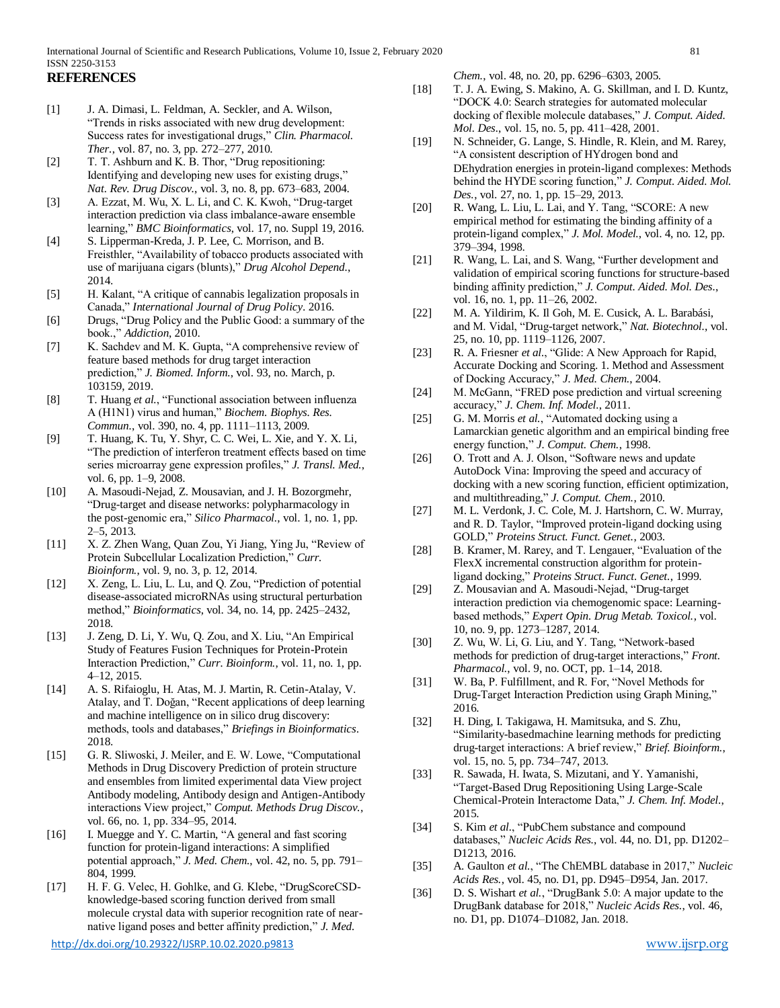# **REFERENCES**

- [1] J. A. Dimasi, L. Feldman, A. Seckler, and A. Wilson, "Trends in risks associated with new drug development: Success rates for investigational drugs," *Clin. Pharmacol. Ther.*, vol. 87, no. 3, pp. 272–277, 2010.
- [2] T. T. Ashburn and K. B. Thor, "Drug repositioning: Identifying and developing new uses for existing drugs," *Nat. Rev. Drug Discov.*, vol. 3, no. 8, pp. 673–683, 2004.
- [3] A. Ezzat, M. Wu, X. L. Li, and C. K. Kwoh, "Drug-target interaction prediction via class imbalance-aware ensemble learning," *BMC Bioinformatics*, vol. 17, no. Suppl 19, 2016.
- [4] S. Lipperman-Kreda, J. P. Lee, C. Morrison, and B. Freisthler, "Availability of tobacco products associated with use of marijuana cigars (blunts)," *Drug Alcohol Depend.*, 2014.
- [5] H. Kalant, "A critique of cannabis legalization proposals in Canada," *International Journal of Drug Policy*. 2016.
- [6] Drugs, "Drug Policy and the Public Good: a summary of the book.," *Addiction*, 2010.
- [7] K. Sachdev and M. K. Gupta, "A comprehensive review of feature based methods for drug target interaction prediction," *J. Biomed. Inform.*, vol. 93, no. March, p. 103159, 2019.
- [8] T. Huang *et al.*, "Functional association between influenza A (H1N1) virus and human," *Biochem. Biophys. Res. Commun.*, vol. 390, no. 4, pp. 1111–1113, 2009.
- [9] T. Huang, K. Tu, Y. Shyr, C. C. Wei, L. Xie, and Y. X. Li, "The prediction of interferon treatment effects based on time series microarray gene expression profiles," *J. Transl. Med.*, vol. 6, pp. 1–9, 2008.
- [10] A. Masoudi-Nejad, Z. Mousavian, and J. H. Bozorgmehr, "Drug-target and disease networks: polypharmacology in the post-genomic era," *Silico Pharmacol.*, vol. 1, no. 1, pp. 2–5, 2013.
- [11] X. Z. Zhen Wang, Quan Zou, Yi Jiang, Ying Ju, "Review of Protein Subcellular Localization Prediction," *Curr. Bioinform.*, vol. 9, no. 3, p. 12, 2014.
- [12] X. Zeng, L. Liu, L. Lu, and Q. Zou, "Prediction of potential disease-associated microRNAs using structural perturbation method," *Bioinformatics*, vol. 34, no. 14, pp. 2425–2432, 2018.
- [13] J. Zeng, D. Li, Y. Wu, Q. Zou, and X. Liu, "An Empirical Study of Features Fusion Techniques for Protein-Protein Interaction Prediction," *Curr. Bioinform.*, vol. 11, no. 1, pp. 4–12, 2015.
- [14] A. S. Rifaioglu, H. Atas, M. J. Martin, R. Cetin-Atalay, V. Atalay, and T. Doğan, "Recent applications of deep learning and machine intelligence on in silico drug discovery: methods, tools and databases," *Briefings in Bioinformatics*. 2018.
- [15] G. R. Sliwoski, J. Meiler, and E. W. Lowe, "Computational Methods in Drug Discovery Prediction of protein structure and ensembles from limited experimental data View project Antibody modeling, Antibody design and Antigen-Antibody interactions View project," *Comput. Methods Drug Discov.*, vol. 66, no. 1, pp. 334–95, 2014.
- [16] I. Muegge and Y. C. Martin, "A general and fast scoring function for protein-ligand interactions: A simplified potential approach," *J. Med. Chem.*, vol. 42, no. 5, pp. 791– 804, 1999.
- [17] H. F. G. Velec, H. Gohlke, and G. Klebe, "DrugScoreCSDknowledge-based scoring function derived from small molecule crystal data with superior recognition rate of nearnative ligand poses and better affinity prediction," *J. Med.*

*Chem.*, vol. 48, no. 20, pp. 6296–6303, 2005.

- [18] T. J. A. Ewing, S. Makino, A. G. Skillman, and I. D. Kuntz, "DOCK 4.0: Search strategies for automated molecular docking of flexible molecule databases," *J. Comput. Aided. Mol. Des.*, vol. 15, no. 5, pp. 411–428, 2001.
- [19] N. Schneider, G. Lange, S. Hindle, R. Klein, and M. Rarey, "A consistent description of HYdrogen bond and DEhydration energies in protein-ligand complexes: Methods behind the HYDE scoring function," *J. Comput. Aided. Mol. Des.*, vol. 27, no. 1, pp. 15–29, 2013.
- [20] R. Wang, L. Liu, L. Lai, and Y. Tang, "SCORE: A new empirical method for estimating the binding affinity of a protein-ligand complex," *J. Mol. Model.*, vol. 4, no. 12, pp. 379–394, 1998.
- [21] R. Wang, L. Lai, and S. Wang, "Further development and validation of empirical scoring functions for structure-based binding affinity prediction," *J. Comput. Aided. Mol. Des.*, vol. 16, no. 1, pp. 11–26, 2002.
- [22] M. A. Yildirim, K. Il Goh, M. E. Cusick, A. L. Barabási, and M. Vidal, "Drug-target network," *Nat. Biotechnol.*, vol. 25, no. 10, pp. 1119–1126, 2007.
- [23] R. A. Friesner *et al.*, "Glide: A New Approach for Rapid, Accurate Docking and Scoring. 1. Method and Assessment of Docking Accuracy," *J. Med. Chem.*, 2004.
- [24] M. McGann, "FRED pose prediction and virtual screening accuracy," *J. Chem. Inf. Model.*, 2011.
- [25] G. M. Morris *et al.*, "Automated docking using a Lamarckian genetic algorithm and an empirical binding free energy function," *J. Comput. Chem.*, 1998.
- [26] O. Trott and A. J. Olson, "Software news and update AutoDock Vina: Improving the speed and accuracy of docking with a new scoring function, efficient optimization, and multithreading," *J. Comput. Chem.*, 2010.
- [27] M. L. Verdonk, J. C. Cole, M. J. Hartshorn, C. W. Murray, and R. D. Taylor, "Improved protein-ligand docking using GOLD," *Proteins Struct. Funct. Genet.*, 2003.
- [28] B. Kramer, M. Rarey, and T. Lengauer, "Evaluation of the FlexX incremental construction algorithm for proteinligand docking," *Proteins Struct. Funct. Genet.*, 1999.
- [29] Z. Mousavian and A. Masoudi-Nejad, "Drug-target" interaction prediction via chemogenomic space: Learningbased methods," *Expert Opin. Drug Metab. Toxicol.*, vol. 10, no. 9, pp. 1273–1287, 2014.
- [30] Z. Wu, W. Li, G. Liu, and Y. Tang, "Network-based methods for prediction of drug-target interactions," *Front. Pharmacol.*, vol. 9, no. OCT, pp. 1–14, 2018.
- [31] W. Ba, P. Fulfillment, and R. For, "Novel Methods for Drug-Target Interaction Prediction using Graph Mining," 2016.
- [32] H. Ding, I. Takigawa, H. Mamitsuka, and S. Zhu, "Similarity-basedmachine learning methods for predicting drug-target interactions: A brief review," *Brief. Bioinform.*, vol. 15, no. 5, pp. 734–747, 2013.
- [33] R. Sawada, H. Iwata, S. Mizutani, and Y. Yamanishi, "Target-Based Drug Repositioning Using Large-Scale Chemical-Protein Interactome Data," *J. Chem. Inf. Model.*, 2015.
- [34] S. Kim *et al.*, "PubChem substance and compound databases," *Nucleic Acids Res.*, vol. 44, no. D1, pp. D1202– D1213, 2016.
- [35] A. Gaulton *et al.*, "The ChEMBL database in 2017," *Nucleic Acids Res.*, vol. 45, no. D1, pp. D945–D954, Jan. 2017.
- [36] D. S. Wishart *et al.*, "DrugBank 5.0: A major update to the DrugBank database for 2018," *Nucleic Acids Res.*, vol. 46, no. D1, pp. D1074–D1082, Jan. 2018.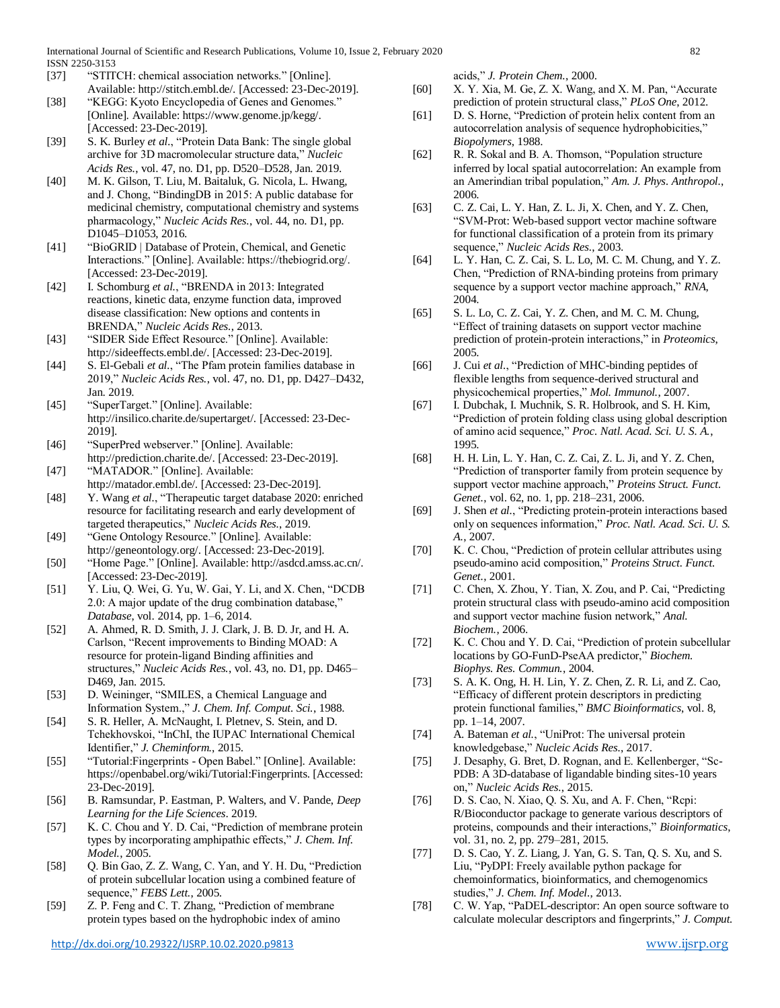International Journal of Scientific and Research Publications, Volume 10, Issue 2, February 2020 82 ISSN 2250-3153

- [37] "STITCH: chemical association networks." [Online].
- Available: http://stitch.embl.de/. [Accessed: 23-Dec-2019]. [38] "KEGG: Kyoto Encyclopedia of Genes and Genomes."
- [Online]. Available: https://www.genome.jp/kegg/. [Accessed: 23-Dec-2019]. [39] S. K. Burley *et al.*, "Protein Data Bank: The single global
- archive for 3D macromolecular structure data," *Nucleic Acids Res.*, vol. 47, no. D1, pp. D520–D528, Jan. 2019.
- [40] M. K. Gilson, T. Liu, M. Baitaluk, G. Nicola, L. Hwang, and J. Chong, "BindingDB in 2015: A public database for medicinal chemistry, computational chemistry and systems pharmacology," *Nucleic Acids Res.*, vol. 44, no. D1, pp. D1045–D1053, 2016.
- [41] "BioGRID | Database of Protein, Chemical, and Genetic Interactions." [Online]. Available: https://thebiogrid.org/. [Accessed: 23-Dec-2019].
- [42] I. Schomburg *et al.*, "BRENDA in 2013: Integrated reactions, kinetic data, enzyme function data, improved disease classification: New options and contents in BRENDA," *Nucleic Acids Res.*, 2013.
- [43] "SIDER Side Effect Resource." [Online]. Available: http://sideeffects.embl.de/. [Accessed: 23-Dec-2019].
- [44] S. El-Gebali *et al.*, "The Pfam protein families database in 2019," *Nucleic Acids Res.*, vol. 47, no. D1, pp. D427–D432, Jan. 2019.
- [45] "SuperTarget." [Online]. Available: http://insilico.charite.de/supertarget/. [Accessed: 23-Dec-2019].
- [46] "SuperPred webserver." [Online]. Available: http://prediction.charite.de/. [Accessed: 23-Dec-2019].
- [47] "MATADOR." [Online]. Available: http://matador.embl.de/. [Accessed: 23-Dec-2019].
- [48] Y. Wang *et al.*, "Therapeutic target database 2020: enriched resource for facilitating research and early development of targeted therapeutics," *Nucleic Acids Res.*, 2019.
- [49] "Gene Ontology Resource." [Online]. Available: http://geneontology.org/. [Accessed: 23-Dec-2019].
- [50] "Home Page." [Online]. Available: http://asdcd.amss.ac.cn/. [Accessed: 23-Dec-2019].
- [51] Y. Liu, Q. Wei, G. Yu, W. Gai, Y. Li, and X. Chen, "DCDB 2.0: A major update of the drug combination database," *Database*, vol. 2014, pp. 1–6, 2014.
- [52] A. Ahmed, R. D. Smith, J. J. Clark, J. B. D. Jr, and H. A. Carlson, "Recent improvements to Binding MOAD: A resource for protein-ligand Binding affinities and structures," *Nucleic Acids Res.*, vol. 43, no. D1, pp. D465– D469, Jan. 2015.
- [53] D. Weininger, "SMILES, a Chemical Language and Information System.," *J. Chem. Inf. Comput. Sci.*, 1988.
- [54] S. R. Heller, A. McNaught, I. Pletnev, S. Stein, and D. Tchekhovskoi, "InChI, the IUPAC International Chemical Identifier," *J. Cheminform.*, 2015.
- [55] "Tutorial:Fingerprints Open Babel." [Online]. Available: https://openbabel.org/wiki/Tutorial:Fingerprints. [Accessed: 23-Dec-2019].
- [56] B. Ramsundar, P. Eastman, P. Walters, and V. Pande, *Deep Learning for the Life Sciences*. 2019.
- [57] K. C. Chou and Y. D. Cai, "Prediction of membrane protein types by incorporating amphipathic effects," *J. Chem. Inf. Model.*, 2005.
- [58] Q. Bin Gao, Z. Z. Wang, C. Yan, and Y. H. Du, "Prediction of protein subcellular location using a combined feature of sequence," *FEBS Lett.*, 2005.
- [59] Z. P. Feng and C. T. Zhang, "Prediction of membrane protein types based on the hydrophobic index of amino

acids," *J. Protein Chem.*, 2000.

- [60] X. Y. Xia, M. Ge, Z. X. Wang, and X. M. Pan, "Accurate prediction of protein structural class," *PLoS One*, 2012.
- [61] D. S. Horne, "Prediction of protein helix content from an autocorrelation analysis of sequence hydrophobicities," *Biopolymers*, 1988.
- [62] R. R. Sokal and B. A. Thomson, "Population structure inferred by local spatial autocorrelation: An example from an Amerindian tribal population," *Am. J. Phys. Anthropol.*, 2006.
- [63] C. Z. Cai, L. Y. Han, Z. L. Ji, X. Chen, and Y. Z. Chen, "SVM-Prot: Web-based support vector machine software for functional classification of a protein from its primary sequence," *Nucleic Acids Res.*, 2003.
- [64] L. Y. Han, C. Z. Cai, S. L. Lo, M. C. M. Chung, and Y. Z. Chen, "Prediction of RNA-binding proteins from primary sequence by a support vector machine approach," *RNA*, 2004.
- [65] S. L. Lo, C. Z. Cai, Y. Z. Chen, and M. C. M. Chung, "Effect of training datasets on support vector machine prediction of protein-protein interactions," in *Proteomics*, 2005.
- [66] J. Cui *et al.*, "Prediction of MHC-binding peptides of flexible lengths from sequence-derived structural and physicochemical properties," *Mol. Immunol.*, 2007.
- [67] I. Dubchak, I. Muchnik, S. R. Holbrook, and S. H. Kim, "Prediction of protein folding class using global description of amino acid sequence," *Proc. Natl. Acad. Sci. U. S. A.*, 1995.
- [68] H. H. Lin, L. Y. Han, C. Z. Cai, Z. L. Ji, and Y. Z. Chen, "Prediction of transporter family from protein sequence by support vector machine approach," *Proteins Struct. Funct. Genet.*, vol. 62, no. 1, pp. 218–231, 2006.
- [69] J. Shen *et al.*, "Predicting protein-protein interactions based only on sequences information," *Proc. Natl. Acad. Sci. U. S. A.*, 2007.
- [70] K. C. Chou, "Prediction of protein cellular attributes using pseudo-amino acid composition," *Proteins Struct. Funct. Genet.*, 2001.
- [71] C. Chen, X. Zhou, Y. Tian, X. Zou, and P. Cai, "Predicting protein structural class with pseudo-amino acid composition and support vector machine fusion network," *Anal. Biochem.*, 2006.
- [72] K. C. Chou and Y. D. Cai, "Prediction of protein subcellular locations by GO-FunD-PseAA predictor," *Biochem. Biophys. Res. Commun.*, 2004.
- [73] S. A. K. Ong, H. H. Lin, Y. Z. Chen, Z. R. Li, and Z. Cao, "Efficacy of different protein descriptors in predicting protein functional families," *BMC Bioinformatics*, vol. 8, pp. 1–14, 2007.
- [74] A. Bateman *et al.*, "UniProt: The universal protein knowledgebase," *Nucleic Acids Res.*, 2017.
- [75] J. Desaphy, G. Bret, D. Rognan, and E. Kellenberger, "Sc-PDB: A 3D-database of ligandable binding sites-10 years on," *Nucleic Acids Res.*, 2015.
- [76] D. S. Cao, N. Xiao, O. S. Xu, and A. F. Chen, "Repi: R/Bioconductor package to generate various descriptors of proteins, compounds and their interactions," *Bioinformatics*, vol. 31, no. 2, pp. 279–281, 2015.
- [77] D. S. Cao, Y. Z. Liang, J. Yan, G. S. Tan, Q. S. Xu, and S. Liu, "PyDPI: Freely available python package for chemoinformatics, bioinformatics, and chemogenomics studies," *J. Chem. Inf. Model.*, 2013.
- [78] C. W. Yap, "PaDEL-descriptor: An open source software to calculate molecular descriptors and fingerprints," *J. Comput.*